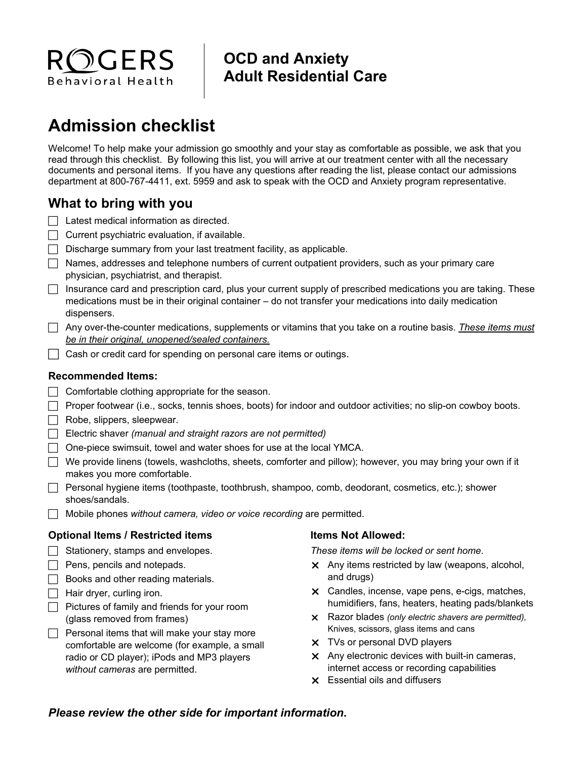

## **OCD and Anxiety Adult Residential Care**

# **Admission checklist**

Welcome! To help make your admission go smoothly and your stay as comfortable as possible, we ask that you read through this checklist. By following this list, you will arrive at our treatment center with all the necessary documents and personal items. If you have any questions after reading the list, please contact our admissions department at 800-767-4411, ext. 5959 and ask to speak with the OCD and Anxiety program representative.

#### **What to bring with you**

- $\Box$  Latest medical information as directed.
- $\Box$  Current psychiatric evaluation, if available.
- $\Box$  Discharge summary from your last treatment facility, as applicable.
- $\Box$  Names, addresses and telephone numbers of current outpatient providers, such as your primary care physician, psychiatrist, and therapist.
- $\Box$  Insurance card and prescription card, plus your current supply of prescribed medications you are taking. These medications must be in their original container – do not transfer your medications into daily medication dispensers.
- Any over-the-counter medications, supplements or vitamins that you take on a routine basis. *These items must be in their original, unopened/sealed containers.*
- $\Box$  Cash or credit card for spending on personal care items or outings.

#### **Recommended Items:**

- $\Box$  Comfortable clothing appropriate for the season.
- Proper footwear (i.e., socks, tennis shoes, boots) for indoor and outdoor activities; no slip-on cowboy boots.
- $\Box$  Robe, slippers, sleepwear.
- Electric shaver *(manual and straight razors are not permitted)*
- $\Box$  One-piece swimsuit, towel and water shoes for use at the local YMCA.
- $\Box$  We provide linens (towels, washcloths, sheets, comforter and pillow); however, you may bring your own if it makes you more comfortable.
- $\Box$  Personal hygiene items (toothpaste, toothbrush, shampoo, comb, deodorant, cosmetics, etc.); shower shoes/sandals.
- Mobile phones *without camera, video or voice recording* are permitted.

#### **Optional Items / Restricted items**

- $\Box$  Stationery, stamps and envelopes.
- $\Box$  Pens, pencils and notepads.
- $\Box$  Books and other reading materials.
- $\Box$  Hair dryer, curling iron.
- $\Box$  Pictures of family and friends for your room (glass removed from frames)
- $\Box$  Personal items that will make your stay more comfortable are welcome (for example, a small radio or CD player); iPods and MP3 players *without cameras* are permitted.

#### **Items Not Allowed:**

*These items will be locked or sent home*.

- Any items restricted by law (weapons, alcohol, and drugs)
- Candles, incense, vape pens, e-cigs, matches, humidifiers, fans, heaters, heating pads/blankets
- Razor blades *(only electric shavers are permitted),*  Knives, scissors, glass items and cans
- **x** TVs or personal DVD players
- $\times$  Any electronic devices with built-in cameras, internet access or recording capabilities
- Essential oils and diffusers

#### *Please review the other side for important information.*